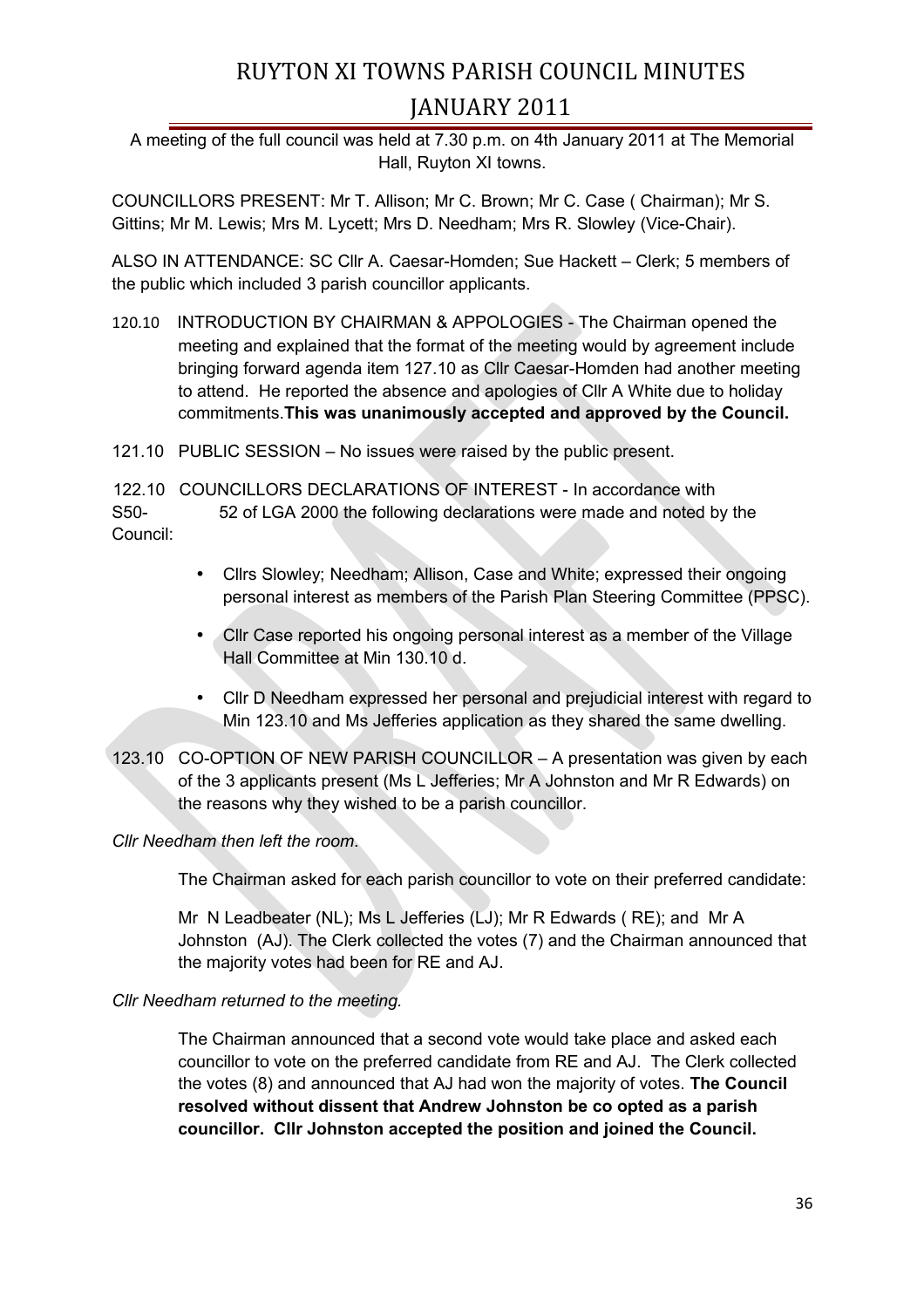A meeting of the full council was held at 7.30 p.m. on 4th January 2011 at The Memorial Hall, Ruyton XI towns.

COUNCILLORS PRESENT: Mr T. Allison; Mr C. Brown; Mr C. Case ( Chairman); Mr S. Gittins; Mr M. Lewis; Mrs M. Lycett; Mrs D. Needham; Mrs R. Slowley (Vice-Chair).

ALSO IN ATTENDANCE: SC Cllr A. Caesar-Homden; Sue Hackett – Clerk; 5 members of the public which included 3 parish councillor applicants.

120.10 INTRODUCTION BY CHAIRMAN & APPOLOGIES - The Chairman opened the meeting and explained that the format of the meeting would by agreement include bringing forward agenda item 127.10 as Cllr Caesar-Homden had another meeting to attend. He reported the absence and apologies of Cllr A White due to holiday commitments.**This was unanimously accepted and approved by the Council.**

121.10 PUBLIC SESSION – No issues were raised by the public present.

122.10 COUNCILLORS DECLARATIONS OF INTEREST - In accordance with S50- 52 of LGA 2000 the following declarations were made and noted by the Council:

- Cllrs Slowley; Needham; Allison, Case and White; expressed their ongoing personal interest as members of the Parish Plan Steering Committee (PPSC).
- Cllr Case reported his ongoing personal interest as a member of the Village Hall Committee at Min 130.10 d.
- Cllr D Needham expressed her personal and prejudicial interest with regard to Min 123.10 and Ms Jefferies application as they shared the same dwelling.
- 123.10 CO-OPTION OF NEW PARISH COUNCILLOR A presentation was given by each of the 3 applicants present (Ms L Jefferies; Mr A Johnston and Mr R Edwards) on the reasons why they wished to be a parish councillor.

### *Cllr Needham then left the room*.

The Chairman asked for each parish councillor to vote on their preferred candidate:

Mr N Leadbeater (NL); Ms L Jefferies (LJ); Mr R Edwards ( RE); and Mr A Johnston (AJ). The Clerk collected the votes (7) and the Chairman announced that the majority votes had been for RE and AJ.

### *Cllr Needham returned to the meeting.*

The Chairman announced that a second vote would take place and asked each councillor to vote on the preferred candidate from RE and AJ. The Clerk collected the votes (8) and announced that AJ had won the majority of votes. **The Council resolved without dissent that Andrew Johnston be co opted as a parish councillor. Cllr Johnston accepted the position and joined the Council.**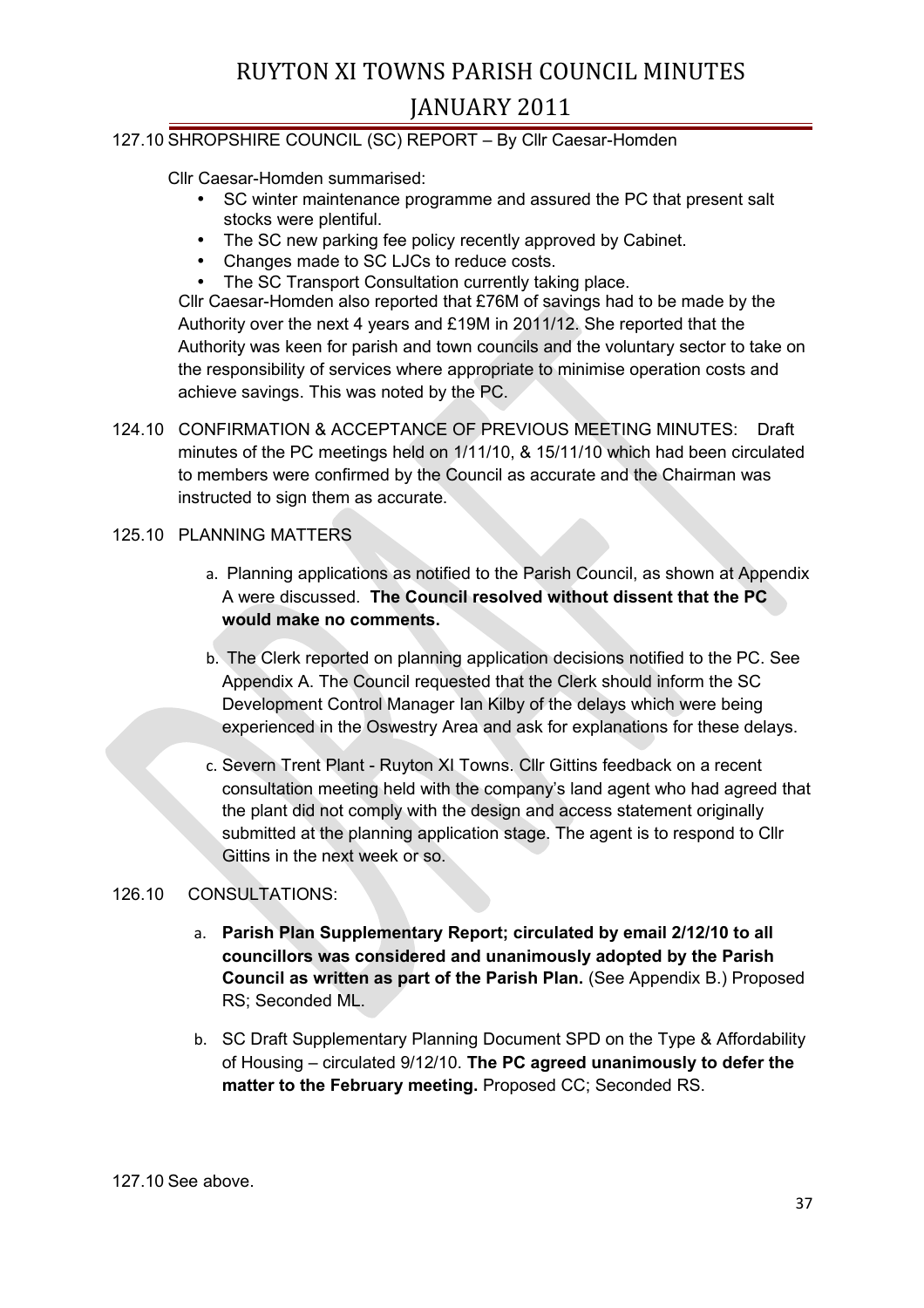#### 127.10 SHROPSHIRE COUNCIL (SC) REPORT – By Cllr Caesar-Homden

Cllr Caesar-Homden summarised:

- SC winter maintenance programme and assured the PC that present salt stocks were plentiful.
- The SC new parking fee policy recently approved by Cabinet.
- Changes made to SC LJCs to reduce costs.
- The SC Transport Consultation currently taking place.

Cllr Caesar-Homden also reported that £76M of savings had to be made by the Authority over the next 4 years and £19M in 2011/12. She reported that the Authority was keen for parish and town councils and the voluntary sector to take on the responsibility of services where appropriate to minimise operation costs and achieve savings. This was noted by the PC.

124.10 CONFIRMATION & ACCEPTANCE OF PREVIOUS MEETING MINUTES: Draft minutes of the PC meetings held on 1/11/10, & 15/11/10 which had been circulated to members were confirmed by the Council as accurate and the Chairman was instructed to sign them as accurate.

#### 125.10 PLANNING MATTERS

- a. Planning applications as notified to the Parish Council, as shown at Appendix A were discussed. **The Council resolved without dissent that the PC would make no comments.**
- b. The Clerk reported on planning application decisions notified to the PC. See Appendix A. The Council requested that the Clerk should inform the SC Development Control Manager Ian Kilby of the delays which were being experienced in the Oswestry Area and ask for explanations for these delays.
- c. Severn Trent Plant Ruyton XI Towns. Cllr Gittins feedback on a recent consultation meeting held with the company's land agent who had agreed that the plant did not comply with the design and access statement originally submitted at the planning application stage. The agent is to respond to Cllr Gittins in the next week or so.

#### 126.10 CONSULTATIONS:

- a. **Parish Plan Supplementary Report; circulated by email 2/12/10 to all councillors was considered and unanimously adopted by the Parish Council as written as part of the Parish Plan.** (See Appendix B.) Proposed RS; Seconded ML.
- b. SC Draft Supplementary Planning Document SPD on the Type & Affordability of Housing – circulated 9/12/10. **The PC agreed unanimously to defer the matter to the February meeting.** Proposed CC; Seconded RS.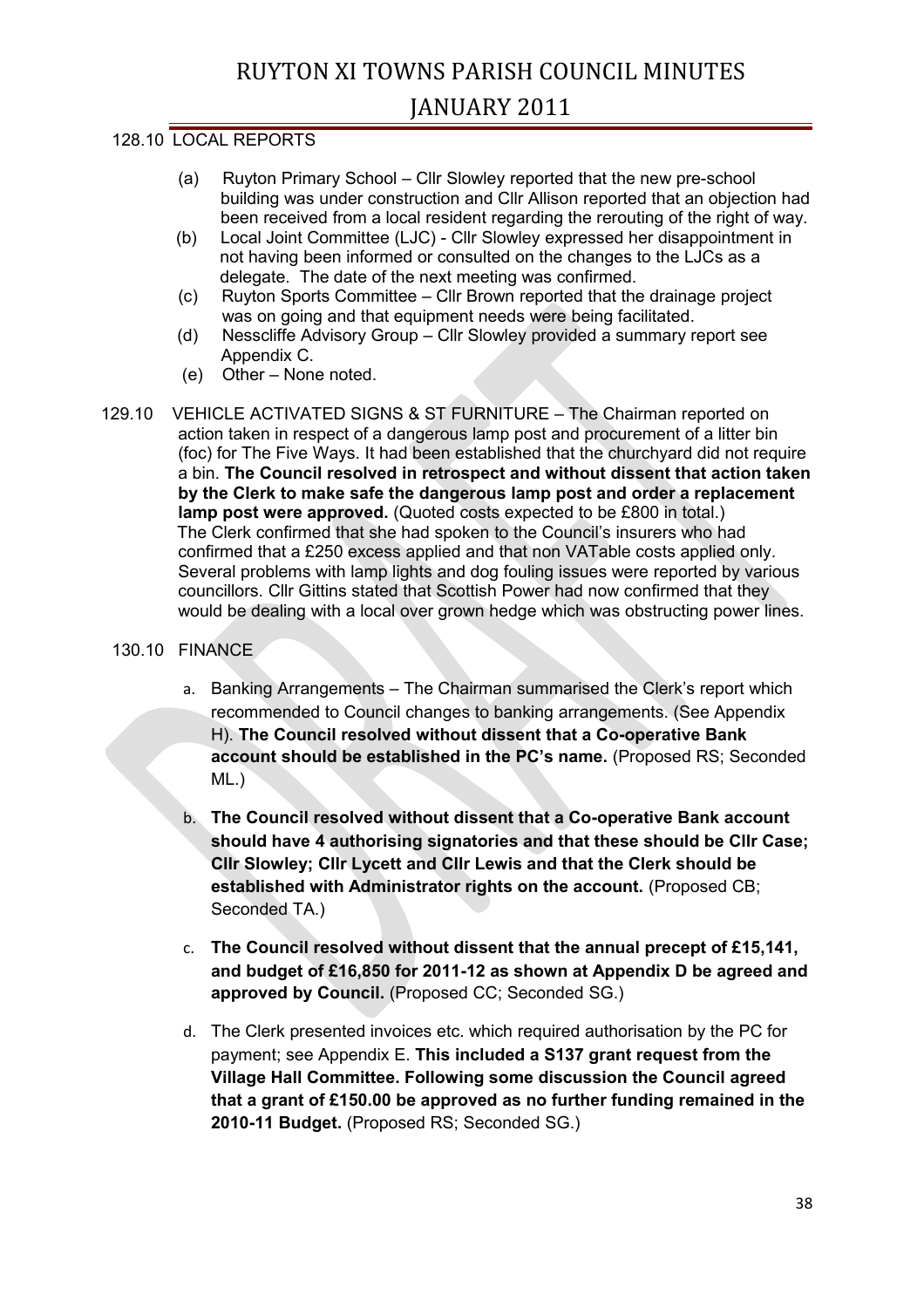#### 128.10 LOCAL REPORTS

- (a) Ruyton Primary School Cllr Slowley reported that the new pre-school building was under construction and Cllr Allison reported that an objection had been received from a local resident regarding the rerouting of the right of way.
- (b) Local Joint Committee (LJC) Cllr Slowley expressed her disappointment in not having been informed or consulted on the changes to the LJCs as a delegate. The date of the next meeting was confirmed.
- (c) Ruyton Sports Committee Cllr Brown reported that the drainage project was on going and that equipment needs were being facilitated.
- (d) Nesscliffe Advisory Group Cllr Slowley provided a summary report see Appendix C.
- (e) Other None noted.
- 129.10 VEHICLE ACTIVATED SIGNS & ST FURNITURE The Chairman reported on action taken in respect of a dangerous lamp post and procurement of a litter bin (foc) for The Five Ways. It had been established that the churchyard did not require a bin. **The Council resolved in retrospect and without dissent that action taken by the Clerk to make safe the dangerous lamp post and order a replacement lamp post were approved.** (Quoted costs expected to be £800 in total.) The Clerk confirmed that she had spoken to the Council's insurers who had confirmed that a £250 excess applied and that non VATable costs applied only. Several problems with lamp lights and dog fouling issues were reported by various councillors. Cllr Gittins stated that Scottish Power had now confirmed that they would be dealing with a local over grown hedge which was obstructing power lines.

#### 130.10 FINANCE

- a. Banking Arrangements The Chairman summarised the Clerk's report which recommended to Council changes to banking arrangements. (See Appendix H). **The Council resolved without dissent that a Co-operative Bank account should be established in the PC's name.** (Proposed RS; Seconded ML.)
- b. **The Council resolved without dissent that a Co-operative Bank account should have 4 authorising signatories and that these should be Cllr Case; Cllr Slowley; Cllr Lycett and Cllr Lewis and that the Clerk should be established with Administrator rights on the account.** (Proposed CB; Seconded TA.)
- c. **The Council resolved without dissent that the annual precept of £15,141, and budget of £16,850 for 2011-12 as shown at Appendix D be agreed and approved by Council.** (Proposed CC; Seconded SG.)
- d. The Clerk presented invoices etc. which required authorisation by the PC for payment; see Appendix E. **This included a S137 grant request from the Village Hall Committee. Following some discussion the Council agreed that a grant of £150.00 be approved as no further funding remained in the 2010-11 Budget.** (Proposed RS; Seconded SG.)